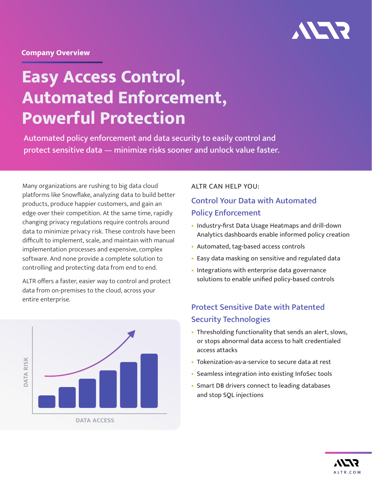

#### **Company Overview**

# **Easy Access Control, Automated Enforcement, Powerful Protection**

Automated policy enforcement and data security to easily control and protect sensitive data — minimize risks sooner and unlock value faster.

Many organizations are rushing to big data cloud platforms like Snowflake, analyzing data to build better products, produce happier customers, and gain an edge over their competition. At the same time, rapidly changing privacy regulations require controls around data to minimize privacy risk. These controls have been difficult to implement, scale, and maintain with manual implementation processes and expensive, complex software. And none provide a complete solution to controlling and protecting data from end to end.

ALTR offers a faster, easier way to control and protect data from on-premises to the cloud, across your entire enterprise.



#### ALTR CAN HELP YOU:

### Control Your Data with Automated Policy Enforcement

- Industry-first Data Usage Heatmaps and drill-down Analytics dashboards enable informed policy creation
- Automated, tag-based access controls
- Easy data masking on sensitive and regulated data
- Integrations with enterprise data governance solutions to enable unified policy-based controls

## Protect Sensitive Date with Patented Security Technologies

- Thresholding functionality that sends an alert, slows, or stops abnormal data access to halt credentialed access attacks
- Tokenization-as-a-service to secure data at rest
- Seamless integration into existing InfoSec tools
- Smart DB drivers connect to leading databases and stop SQL injections